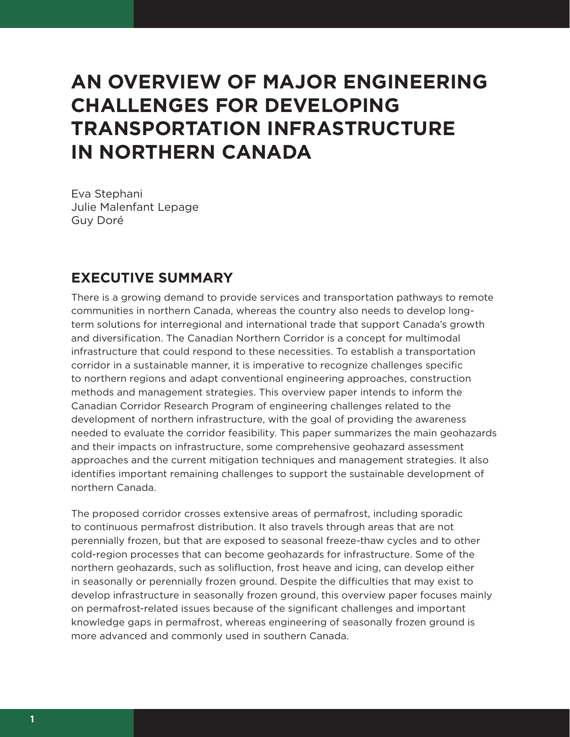## **AN OVERVIEW OF MAJOR ENGINEERING CHALLENGES FOR DEVELOPING TRANSPORTATION INFRASTRUCTURE IN NORTHERN CANADA**

Eva Stephani Julie Malenfant Lepage Guy Doré

## **EXECUTIVE SUMMARY**

There is a growing demand to provide services and transportation pathways to remote communities in northern Canada, whereas the country also needs to develop longterm solutions for interregional and international trade that support Canada's growth and diversification. The Canadian Northern Corridor is a concept for multimodal infrastructure that could respond to these necessities. To establish a transportation corridor in a sustainable manner, it is imperative to recognize challenges specific to northern regions and adapt conventional engineering approaches, construction methods and management strategies. This overview paper intends to inform the Canadian Corridor Research Program of engineering challenges related to the development of northern infrastructure, with the goal of providing the awareness needed to evaluate the corridor feasibility. This paper summarizes the main geohazards and their impacts on infrastructure, some comprehensive geohazard assessment approaches and the current mitigation techniques and management strategies. It also identifies important remaining challenges to support the sustainable development of northern Canada.

The proposed corridor crosses extensive areas of permafrost, including sporadic to continuous permafrost distribution. It also travels through areas that are not perennially frozen, but that are exposed to seasonal freeze-thaw cycles and to other cold-region processes that can become geohazards for infrastructure. Some of the northern geohazards, such as solifluction, frost heave and icing, can develop either in seasonally or perennially frozen ground. Despite the difficulties that may exist to develop infrastructure in seasonally frozen ground, this overview paper focuses mainly on permafrost-related issues because of the significant challenges and important knowledge gaps in permafrost, whereas engineering of seasonally frozen ground is more advanced and commonly used in southern Canada.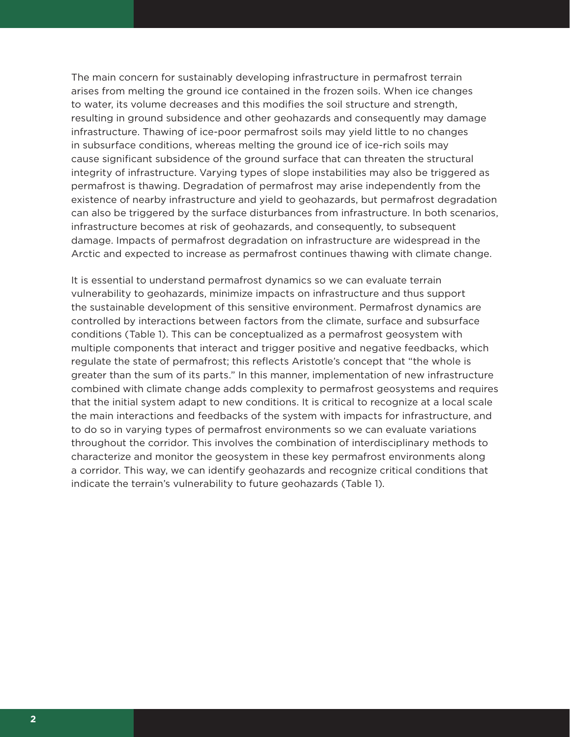The main concern for sustainably developing infrastructure in permafrost terrain arises from melting the ground ice contained in the frozen soils. When ice changes to water, its volume decreases and this modifies the soil structure and strength, resulting in ground subsidence and other geohazards and consequently may damage infrastructure. Thawing of ice-poor permafrost soils may yield little to no changes in subsurface conditions, whereas melting the ground ice of ice-rich soils may cause significant subsidence of the ground surface that can threaten the structural integrity of infrastructure. Varying types of slope instabilities may also be triggered as permafrost is thawing. Degradation of permafrost may arise independently from the existence of nearby infrastructure and yield to geohazards, but permafrost degradation can also be triggered by the surface disturbances from infrastructure. In both scenarios, infrastructure becomes at risk of geohazards, and consequently, to subsequent damage. Impacts of permafrost degradation on infrastructure are widespread in the Arctic and expected to increase as permafrost continues thawing with climate change.

It is essential to understand permafrost dynamics so we can evaluate terrain vulnerability to geohazards, minimize impacts on infrastructure and thus support the sustainable development of this sensitive environment. Permafrost dynamics are controlled by interactions between factors from the climate, surface and subsurface conditions (Table 1). This can be conceptualized as a permafrost geosystem with multiple components that interact and trigger positive and negative feedbacks, which regulate the state of permafrost; this reflects Aristotle's concept that "the whole is greater than the sum of its parts." In this manner, implementation of new infrastructure combined with climate change adds complexity to permafrost geosystems and requires that the initial system adapt to new conditions. It is critical to recognize at a local scale the main interactions and feedbacks of the system with impacts for infrastructure, and to do so in varying types of permafrost environments so we can evaluate variations throughout the corridor. This involves the combination of interdisciplinary methods to characterize and monitor the geosystem in these key permafrost environments along a corridor. This way, we can identify geohazards and recognize critical conditions that indicate the terrain's vulnerability to future geohazards (Table 1).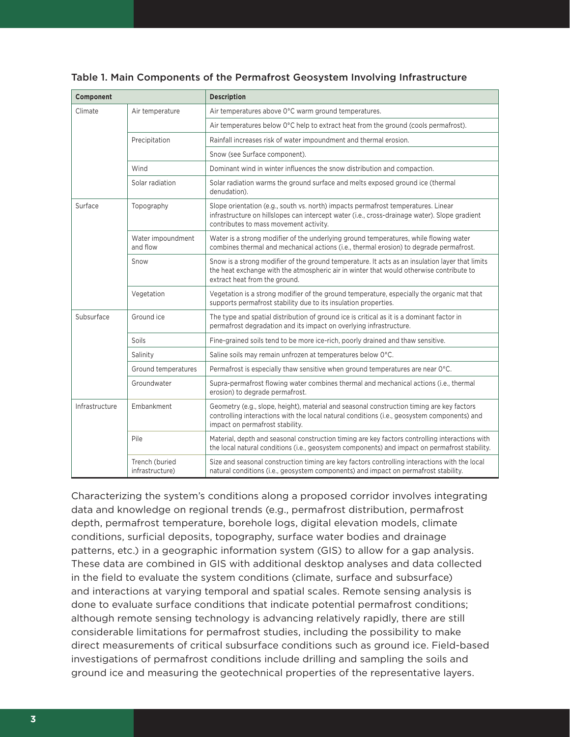| Component      |                                   | <b>Description</b>                                                                                                                                                                                                           |
|----------------|-----------------------------------|------------------------------------------------------------------------------------------------------------------------------------------------------------------------------------------------------------------------------|
| Climate        | Air temperature                   | Air temperatures above 0°C warm ground temperatures.                                                                                                                                                                         |
|                |                                   | Air temperatures below 0°C help to extract heat from the ground (cools permafrost).                                                                                                                                          |
|                | Precipitation                     | Rainfall increases risk of water impoundment and thermal erosion.                                                                                                                                                            |
|                |                                   | Snow (see Surface component).                                                                                                                                                                                                |
|                | Wind                              | Dominant wind in winter influences the snow distribution and compaction.                                                                                                                                                     |
|                | Solar radiation                   | Solar radiation warms the ground surface and melts exposed ground ice (thermal<br>denudation).                                                                                                                               |
| Surface        | Topography                        | Slope orientation (e.g., south vs. north) impacts permafrost temperatures. Linear<br>infrastructure on hillslopes can intercept water (i.e., cross-drainage water). Slope gradient<br>contributes to mass movement activity. |
|                | Water impoundment<br>and flow     | Water is a strong modifier of the underlying ground temperatures, while flowing water<br>combines thermal and mechanical actions (i.e., thermal erosion) to degrade permafrost.                                              |
|                | Snow                              | Snow is a strong modifier of the ground temperature. It acts as an insulation layer that limits<br>the heat exchange with the atmospheric air in winter that would otherwise contribute to<br>extract heat from the ground.  |
|                | Vegetation                        | Vegetation is a strong modifier of the ground temperature, especially the organic mat that<br>supports permafrost stability due to its insulation properties.                                                                |
| Subsurface     | Ground ice                        | The type and spatial distribution of ground ice is critical as it is a dominant factor in<br>permafrost degradation and its impact on overlying infrastructure.                                                              |
|                | Soils                             | Fine-grained soils tend to be more ice-rich, poorly drained and thaw sensitive.                                                                                                                                              |
|                | Salinity                          | Saline soils may remain unfrozen at temperatures below 0°C.                                                                                                                                                                  |
|                | Ground temperatures               | Permafrost is especially thaw sensitive when ground temperatures are near 0°C.                                                                                                                                               |
|                | Groundwater                       | Supra-permafrost flowing water combines thermal and mechanical actions (i.e., thermal<br>erosion) to degrade permafrost.                                                                                                     |
| Infrastructure | Embankment                        | Geometry (e.g., slope, height), material and seasonal construction timing are key factors<br>controlling interactions with the local natural conditions (i.e., geosystem components) and<br>impact on permafrost stability.  |
|                | Pile                              | Material, depth and seasonal construction timing are key factors controlling interactions with<br>the local natural conditions (i.e., geosystem components) and impact on permafrost stability.                              |
|                | Trench (buried<br>infrastructure) | Size and seasonal construction timing are key factors controlling interactions with the local<br>natural conditions (i.e., geosystem components) and impact on permafrost stability.                                         |

## Table 1. Main Components of the Permafrost Geosystem Involving Infrastructure

Characterizing the system's conditions along a proposed corridor involves integrating data and knowledge on regional trends (e.g., permafrost distribution, permafrost depth, permafrost temperature, borehole logs, digital elevation models, climate conditions, surficial deposits, topography, surface water bodies and drainage patterns, etc.) in a geographic information system (GIS) to allow for a gap analysis. These data are combined in GIS with additional desktop analyses and data collected in the field to evaluate the system conditions (climate, surface and subsurface) and interactions at varying temporal and spatial scales. Remote sensing analysis is done to evaluate surface conditions that indicate potential permafrost conditions; although remote sensing technology is advancing relatively rapidly, there are still considerable limitations for permafrost studies, including the possibility to make direct measurements of critical subsurface conditions such as ground ice. Field-based investigations of permafrost conditions include drilling and sampling the soils and ground ice and measuring the geotechnical properties of the representative layers.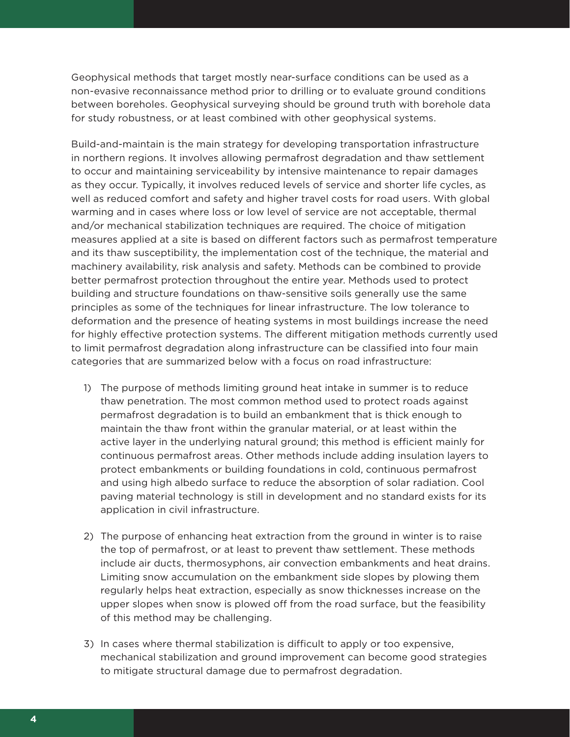Geophysical methods that target mostly near-surface conditions can be used as a non-evasive reconnaissance method prior to drilling or to evaluate ground conditions between boreholes. Geophysical surveying should be ground truth with borehole data for study robustness, or at least combined with other geophysical systems.

Build-and-maintain is the main strategy for developing transportation infrastructure in northern regions. It involves allowing permafrost degradation and thaw settlement to occur and maintaining serviceability by intensive maintenance to repair damages as they occur. Typically, it involves reduced levels of service and shorter life cycles, as well as reduced comfort and safety and higher travel costs for road users. With global warming and in cases where loss or low level of service are not acceptable, thermal and/or mechanical stabilization techniques are required. The choice of mitigation measures applied at a site is based on different factors such as permafrost temperature and its thaw susceptibility, the implementation cost of the technique, the material and machinery availability, risk analysis and safety. Methods can be combined to provide better permafrost protection throughout the entire year. Methods used to protect building and structure foundations on thaw-sensitive soils generally use the same principles as some of the techniques for linear infrastructure. The low tolerance to deformation and the presence of heating systems in most buildings increase the need for highly effective protection systems. The different mitigation methods currently used to limit permafrost degradation along infrastructure can be classified into four main categories that are summarized below with a focus on road infrastructure:

- 1) The purpose of methods limiting ground heat intake in summer is to reduce thaw penetration. The most common method used to protect roads against permafrost degradation is to build an embankment that is thick enough to maintain the thaw front within the granular material, or at least within the active layer in the underlying natural ground; this method is efficient mainly for continuous permafrost areas. Other methods include adding insulation layers to protect embankments or building foundations in cold, continuous permafrost and using high albedo surface to reduce the absorption of solar radiation. Cool paving material technology is still in development and no standard exists for its application in civil infrastructure.
- 2) The purpose of enhancing heat extraction from the ground in winter is to raise the top of permafrost, or at least to prevent thaw settlement. These methods include air ducts, thermosyphons, air convection embankments and heat drains. Limiting snow accumulation on the embankment side slopes by plowing them regularly helps heat extraction, especially as snow thicknesses increase on the upper slopes when snow is plowed off from the road surface, but the feasibility of this method may be challenging.
- 3) In cases where thermal stabilization is difficult to apply or too expensive, mechanical stabilization and ground improvement can become good strategies to mitigate structural damage due to permafrost degradation.